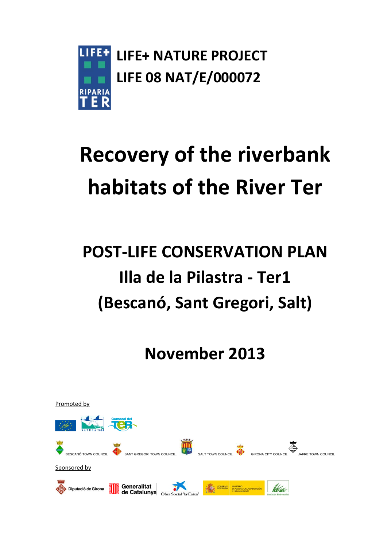

# **Recovery of the riverbank habitats of the River Ter**

# **POST-LIFE CONSERVATION PLAN Illa de la Pilastra - Ter1 (Bescanó, Sant Gregori, Salt)**

**November 2013**

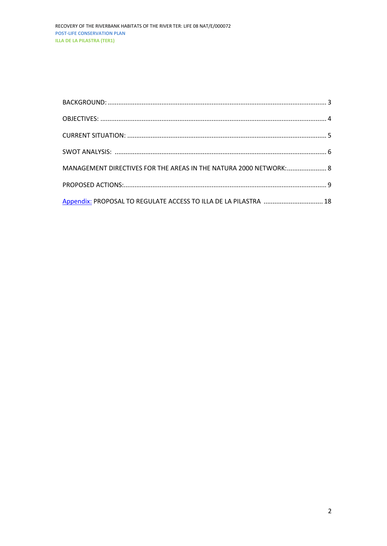| MANAGEMENT DIRECTIVES FOR THE AREAS IN THE NATURA 2000 NETWORK: 8 |  |
|-------------------------------------------------------------------|--|
|                                                                   |  |
|                                                                   |  |
| Appendix: PROPOSAL TO REGULATE ACCESS TO ILLA DE LA PILASTRA  18  |  |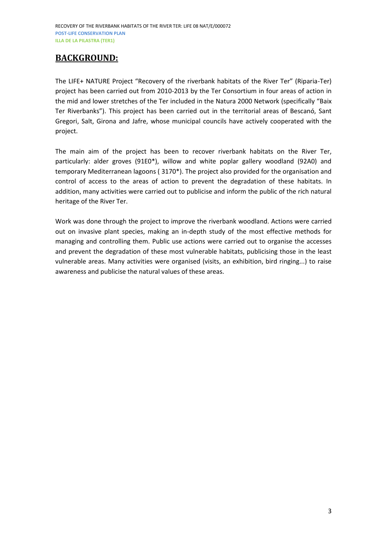## <span id="page-2-0"></span>**BACKGROUND:**

The LIFE+ NATURE Project "Recovery of the riverbank habitats of the River Ter" (Riparia-Ter) project has been carried out from 2010-2013 by the Ter Consortium in four areas of action in the mid and lower stretches of the Ter included in the Natura 2000 Network (specifically "Baix Ter Riverbanks"). This project has been carried out in the territorial areas of Bescanó, Sant Gregori, Salt, Girona and Jafre, whose municipal councils have actively cooperated with the project.

The main aim of the project has been to recover riverbank habitats on the River Ter, particularly: alder groves (91E0\*), willow and white poplar gallery woodland (92A0) and temporary Mediterranean lagoons ( 3170\*). The project also provided for the organisation and control of access to the areas of action to prevent the degradation of these habitats. In addition, many activities were carried out to publicise and inform the public of the rich natural heritage of the River Ter.

Work was done through the project to improve the riverbank woodland. Actions were carried out on invasive plant species, making an in-depth study of the most effective methods for managing and controlling them. Public use actions were carried out to organise the accesses and prevent the degradation of these most vulnerable habitats, publicising those in the least vulnerable areas. Many activities were organised (visits, an exhibition, bird ringing...) to raise awareness and publicise the natural values of these areas.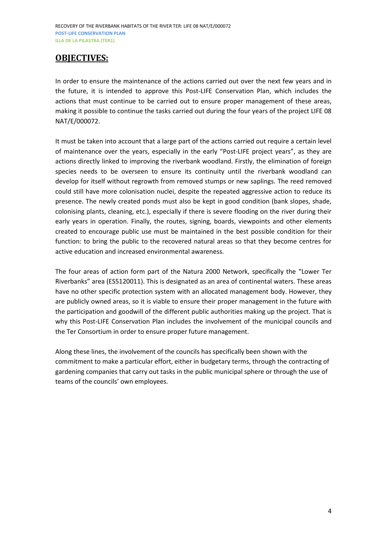### <span id="page-3-0"></span>**OBJECTIVES:**

In order to ensure the maintenance of the actions carried out over the next few years and in the future, it is intended to approve this Post-LIFE Conservation Plan, which includes the actions that must continue to be carried out to ensure proper management of these areas, making it possible to continue the tasks carried out during the four years of the project LIFE 08 NAT/E/000072.

It must be taken into account that a large part of the actions carried out require a certain level of maintenance over the years, especially in the early "Post-LIFE project years", as they are actions directly linked to improving the riverbank woodland. Firstly, the elimination of foreign species needs to be overseen to ensure its continuity until the riverbank woodland can develop for itself without regrowth from removed stumps or new saplings. The reed removed could still have more colonisation nuclei, despite the repeated aggressive action to reduce its presence. The newly created ponds must also be kept in good condition (bank slopes, shade, colonising plants, cleaning, etc.), especially if there is severe flooding on the river during their early years in operation. Finally, the routes, signing, boards, viewpoints and other elements created to encourage public use must be maintained in the best possible condition for their function: to bring the public to the recovered natural areas so that they become centres for active education and increased environmental awareness.

The four areas of action form part of the Natura 2000 Network, specifically the "Lower Ter Riverbanks" area (ES5120011). This is designated as an area of continental waters. These areas have no other specific protection system with an allocated management body. However, they are publicly owned areas, so it is viable to ensure their proper management in the future with the participation and goodwill of the different public authorities making up the project. That is why this Post-LIFE Conservation Plan includes the involvement of the municipal councils and the Ter Consortium in order to ensure proper future management.

Along these lines, the involvement of the councils has specifically been shown with the commitment to make a particular effort, either in budgetary terms, through the contracting of gardening companies that carry out tasks in the public municipal sphere or through the use of teams of the councils' own employees.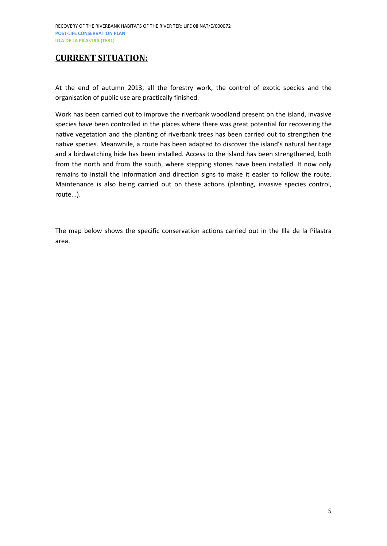### <span id="page-4-0"></span>**CURRENT SITUATION:**

At the end of autumn 2013, all the forestry work, the control of exotic species and the organisation of public use are practically finished.

Work has been carried out to improve the riverbank woodland present on the island, invasive species have been controlled in the places where there was great potential for recovering the native vegetation and the planting of riverbank trees has been carried out to strengthen the native species. Meanwhile, a route has been adapted to discover the island's natural heritage and a birdwatching hide has been installed. Access to the island has been strengthened, both from the north and from the south, where stepping stones have been installed. It now only remains to install the information and direction signs to make it easier to follow the route. Maintenance is also being carried out on these actions (planting, invasive species control, route...).

The map below shows the specific conservation actions carried out in the Illa de la Pilastra area.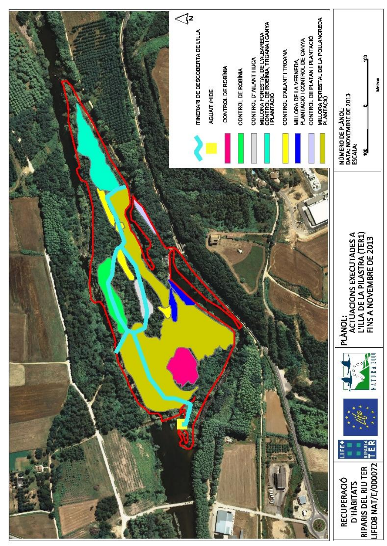<span id="page-5-0"></span>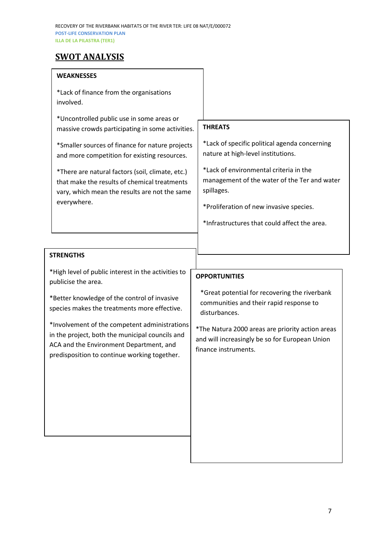## **SWOT ANALYSIS**

#### **WEAKNESSES**

\*Lack of finance from the organisations involved.

\*Uncontrolled public use in some areas or massive crowds participating in some activities.

\*Smaller sources of finance for nature projects and more competition for existing resources.

\*There are natural factors (soil, climate, etc.) that make the results of chemical treatments vary, which mean the results are not the same everywhere.

#### **THREATS**

\*Lack of specific political agenda concerning nature at high-level institutions.

\*Lack of environmental criteria in the management of the water of the Ter and water spillages.

\*Proliferation of new invasive species.

\*Infrastructures that could affect the area.

#### **STRENGTHS**

\*High level of public interest in the activities to publicise the area.

\*Better knowledge of the control of invasive species makes the treatments more effective.

\*Involvement of the competent administrations in the project, both the municipal councils and ACA and the Environment Department, and predisposition to continue working together.

## **OPPORTUNITIES**

\* \*Great potential for recovering the riverbank communities and their rapid response to disturbances.

\*The Natura 2000 areas are priority action areas and will increasingly be so for European Union finance instruments.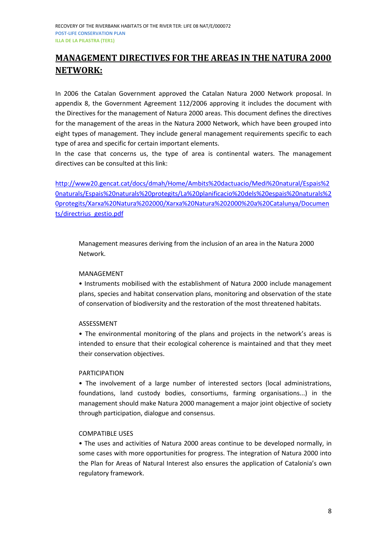# <span id="page-7-0"></span>**MANAGEMENT DIRECTIVES FOR THE AREAS IN THE NATURA 2000 NETWORK:**

In 2006 the Catalan Government approved the Catalan Natura 2000 Network proposal. In appendix 8, the Government Agreement 112/2006 approving it includes the document with the Directives for the management of Natura 2000 areas. This document defines the directives for the management of the areas in the Natura 2000 Network, which have been grouped into eight types of management. They include general management requirements specific to each type of area and specific for certain important elements.

In the case that concerns us, the type of area is continental waters. The management directives can be consulted at this link:

[http://www20.gencat.cat/docs/dmah/Home/Ambits%20dactuacio/Medi%20natural/Espais%2](http://www20.gencat.cat/docs/dmah/Home/Ambits%20dactuacio/Medi%20natural/Espais%20naturals/Espais%20naturals%20protegits/La%20planificacio%20dels%20espais%20naturals%20protegits/Xarxa%20Natura%202000/Xarxa%20Natura%202000%20a%20Catalunya/Documents/directrius_gestio.pdf) [0naturals/Espais%20naturals%20protegits/La%20planificacio%20dels%20espais%20naturals%2](http://www20.gencat.cat/docs/dmah/Home/Ambits%20dactuacio/Medi%20natural/Espais%20naturals/Espais%20naturals%20protegits/La%20planificacio%20dels%20espais%20naturals%20protegits/Xarxa%20Natura%202000/Xarxa%20Natura%202000%20a%20Catalunya/Documents/directrius_gestio.pdf) [0protegits/Xarxa%20Natura%202000/Xarxa%20Natura%202000%20a%20Catalunya/Documen](http://www20.gencat.cat/docs/dmah/Home/Ambits%20dactuacio/Medi%20natural/Espais%20naturals/Espais%20naturals%20protegits/La%20planificacio%20dels%20espais%20naturals%20protegits/Xarxa%20Natura%202000/Xarxa%20Natura%202000%20a%20Catalunya/Documents/directrius_gestio.pdf) [ts/directrius\\_gestio.pdf](http://www20.gencat.cat/docs/dmah/Home/Ambits%20dactuacio/Medi%20natural/Espais%20naturals/Espais%20naturals%20protegits/La%20planificacio%20dels%20espais%20naturals%20protegits/Xarxa%20Natura%202000/Xarxa%20Natura%202000%20a%20Catalunya/Documents/directrius_gestio.pdf)

Management measures deriving from the inclusion of an area in the Natura 2000 Network.

#### MANAGEMENT

• Instruments mobilised with the establishment of Natura 2000 include management plans, species and habitat conservation plans, monitoring and observation of the state of conservation of biodiversity and the restoration of the most threatened habitats.

#### ASSESSMENT

• The environmental monitoring of the plans and projects in the network's areas is intended to ensure that their ecological coherence is maintained and that they meet their conservation objectives.

#### PARTICIPATION

• The involvement of a large number of interested sectors (local administrations, foundations, land custody bodies, consortiums, farming organisations...) in the management should make Natura 2000 management a major joint objective of society through participation, dialogue and consensus.

#### COMPATIBLE USES

• The uses and activities of Natura 2000 areas continue to be developed normally, in some cases with more opportunities for progress. The integration of Natura 2000 into the Plan for Areas of Natural Interest also ensures the application of Catalonia's own regulatory framework.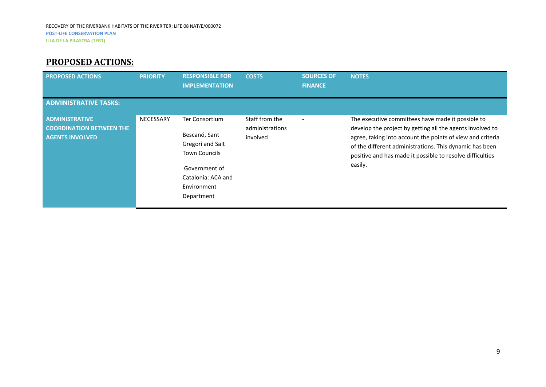# **PROPOSED ACTIONS:**

<span id="page-8-0"></span>

| <b>PROPOSED ACTIONS</b>                                                            | <b>PRIORITY</b> | <b>RESPONSIBLE FOR</b><br><b>IMPLEMENTATION</b>                                                                                                        | <b>COSTS</b>                                  | <b>SOURCES OF</b><br><b>FINANCE</b> | <b>NOTES</b>                                                                                                                                                                                                                                                                                                    |
|------------------------------------------------------------------------------------|-----------------|--------------------------------------------------------------------------------------------------------------------------------------------------------|-----------------------------------------------|-------------------------------------|-----------------------------------------------------------------------------------------------------------------------------------------------------------------------------------------------------------------------------------------------------------------------------------------------------------------|
| <b>ADMINISTRATIVE TASKS:</b>                                                       |                 |                                                                                                                                                        |                                               |                                     |                                                                                                                                                                                                                                                                                                                 |
| <b>ADMINISTRATIVE</b><br><b>COORDINATION BETWEEN THE</b><br><b>AGENTS INVOLVED</b> | NECESSARY       | <b>Ter Consortium</b><br>Bescanó, Sant<br>Gregori and Salt<br><b>Town Councils</b><br>Government of<br>Catalonia: ACA and<br>Environment<br>Department | Staff from the<br>administrations<br>involved |                                     | The executive committees have made it possible to<br>develop the project by getting all the agents involved to<br>agree, taking into account the points of view and criteria<br>of the different administrations. This dynamic has been<br>positive and has made it possible to resolve difficulties<br>easily. |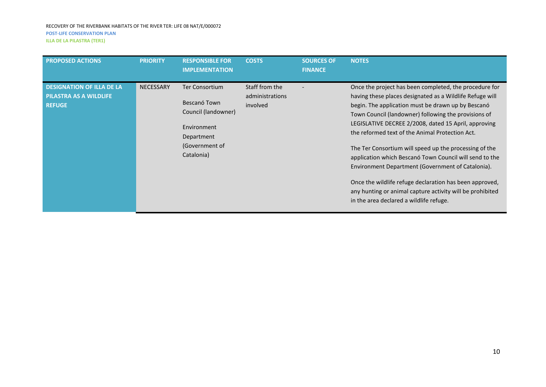| <b>PROPOSED ACTIONS</b>                                                     | <b>PRIORITY</b>  | <b>RESPONSIBLE FOR</b><br><b>IMPLEMENTATION</b>                                                                           | <b>COSTS</b>                                  | <b>SOURCES OF</b><br><b>FINANCE</b> | <b>NOTES</b>                                                                                                                                                                                                                                                                                                                                                                                                                                                                                                                                                                                                                                                                             |
|-----------------------------------------------------------------------------|------------------|---------------------------------------------------------------------------------------------------------------------------|-----------------------------------------------|-------------------------------------|------------------------------------------------------------------------------------------------------------------------------------------------------------------------------------------------------------------------------------------------------------------------------------------------------------------------------------------------------------------------------------------------------------------------------------------------------------------------------------------------------------------------------------------------------------------------------------------------------------------------------------------------------------------------------------------|
| <b>DESIGNATION OF ILLA DE LA</b><br>PILASTRA AS A WILDLIFE<br><b>REFUGE</b> | <b>NECESSARY</b> | <b>Ter Consortium</b><br>Bescanó Town<br>Council (landowner)<br>Environment<br>Department<br>(Government of<br>Catalonia) | Staff from the<br>administrations<br>involved |                                     | Once the project has been completed, the procedure for<br>having these places designated as a Wildlife Refuge will<br>begin. The application must be drawn up by Bescanó<br>Town Council (landowner) following the provisions of<br>LEGISLATIVE DECREE 2/2008, dated 15 April, approving<br>the reformed text of the Animal Protection Act.<br>The Ter Consortium will speed up the processing of the<br>application which Bescanó Town Council will send to the<br>Environment Department (Government of Catalonia).<br>Once the wildlife refuge declaration has been approved,<br>any hunting or animal capture activity will be prohibited<br>in the area declared a wildlife refuge. |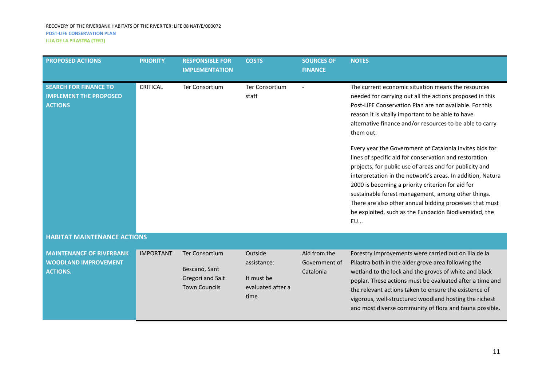| <b>PROPOSED ACTIONS</b>                                                           | <b>PRIORITY</b>  | <b>RESPONSIBLE FOR</b><br><b>IMPLEMENTATION</b>            | <b>COSTS</b>                         | <b>SOURCES OF</b><br><b>FINANCE</b>        | <b>NOTES</b>                                                                                                                                                                                                                                                                                                                                                                                                                                                                            |
|-----------------------------------------------------------------------------------|------------------|------------------------------------------------------------|--------------------------------------|--------------------------------------------|-----------------------------------------------------------------------------------------------------------------------------------------------------------------------------------------------------------------------------------------------------------------------------------------------------------------------------------------------------------------------------------------------------------------------------------------------------------------------------------------|
| <b>SEARCH FOR FINANCE TO</b><br><b>IMPLEMENT THE PROPOSED</b><br><b>ACTIONS</b>   | <b>CRITICAL</b>  | <b>Ter Consortium</b>                                      | <b>Ter Consortium</b><br>staff       |                                            | The current economic situation means the resources<br>needed for carrying out all the actions proposed in this<br>Post-LIFE Conservation Plan are not available. For this<br>reason it is vitally important to be able to have<br>alternative finance and/or resources to be able to carry<br>them out.                                                                                                                                                                                 |
|                                                                                   |                  |                                                            |                                      |                                            | Every year the Government of Catalonia invites bids for<br>lines of specific aid for conservation and restoration<br>projects, for public use of areas and for publicity and<br>interpretation in the network's areas. In addition, Natura<br>2000 is becoming a priority criterion for aid for<br>sustainable forest management, among other things.<br>There are also other annual bidding processes that must<br>be exploited, such as the Fundación Biodiversidad, the<br><b>EU</b> |
| <b>HABITAT MAINTENANCE ACTIONS</b>                                                |                  |                                                            |                                      |                                            |                                                                                                                                                                                                                                                                                                                                                                                                                                                                                         |
| <b>MAINTENANCE OF RIVERBANK</b><br><b>WOODLAND IMPROVEMENT</b><br><b>ACTIONS.</b> | <b>IMPORTANT</b> | <b>Ter Consortium</b><br>Bescanó, Sant<br>Gregori and Salt | Outside<br>assistance:<br>It must be | Aid from the<br>Government of<br>Catalonia | Forestry improvements were carried out on Illa de la<br>Pilastra both in the alder grove area following the<br>wetland to the lock and the groves of white and black<br>nonlar. These actions must he evaluated after a time and                                                                                                                                                                                                                                                        |

evaluated after a

time

Town Councils

poplar. These actions must be evaluated after a time and the relevant actions taken to ensure the existence of vigorous, well-structured woodland hosting the richest and most diverse community of flora and fauna possible.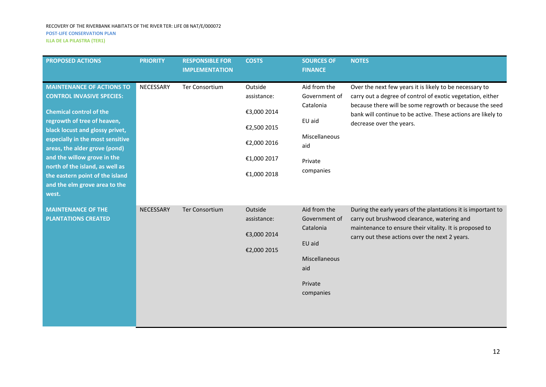| <b>PROPOSED ACTIONS</b>                                                                                                                                                                                                                                                                                                                                                                      | <b>PRIORITY</b> | <b>RESPONSIBLE FOR</b><br><b>IMPLEMENTATION</b> | <b>COSTS</b>                                                                                      | <b>SOURCES OF</b><br><b>FINANCE</b>                                                                  | <b>NOTES</b>                                                                                                                                                                                                                                                                 |
|----------------------------------------------------------------------------------------------------------------------------------------------------------------------------------------------------------------------------------------------------------------------------------------------------------------------------------------------------------------------------------------------|-----------------|-------------------------------------------------|---------------------------------------------------------------------------------------------------|------------------------------------------------------------------------------------------------------|------------------------------------------------------------------------------------------------------------------------------------------------------------------------------------------------------------------------------------------------------------------------------|
| <b>MAINTENANCE OF ACTIONS TO</b><br><b>CONTROL INVASIVE SPECIES:</b><br><b>Chemical control of the</b><br>regrowth of tree of heaven,<br>black locust and glossy privet,<br>especially in the most sensitive<br>areas, the alder grove (pond)<br>and the willow grove in the<br>north of the island, as well as<br>the eastern point of the island<br>and the elm grove area to the<br>west. | NECESSARY       | Ter Consortium                                  | Outside<br>assistance:<br>€3,000 2014<br>€2,500 2015<br>€2,000 2016<br>€1,000 2017<br>€1,000 2018 | Aid from the<br>Government of<br>Catalonia<br>EU aid<br>Miscellaneous<br>aid<br>Private<br>companies | Over the next few years it is likely to be necessary to<br>carry out a degree of control of exotic vegetation, either<br>because there will be some regrowth or because the seed<br>bank will continue to be active. These actions are likely to<br>decrease over the years. |
| <b>MAINTENANCE OF THE</b><br><b>PLANTATIONS CREATED</b>                                                                                                                                                                                                                                                                                                                                      | NECESSARY       | <b>Ter Consortium</b>                           | Outside<br>assistance:<br>€3,000 2014<br>€2,000 2015                                              | Aid from the<br>Government of<br>Catalonia<br>EU aid<br>Miscellaneous<br>aid<br>Private<br>companies | During the early years of the plantations it is important to<br>carry out brushwood clearance, watering and<br>maintenance to ensure their vitality. It is proposed to<br>carry out these actions over the next 2 years.                                                     |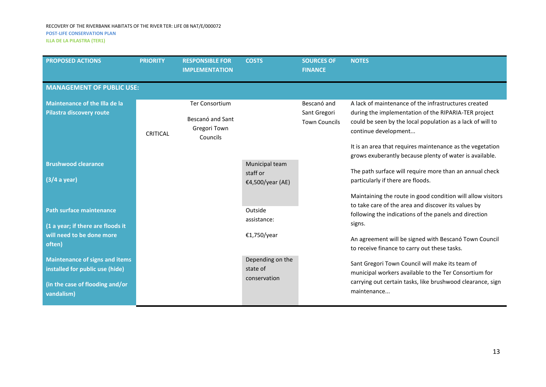#### RECOVERY OF THE RIVERBANK HABITATS OF THE RIVER TER: LIFE 08 NAT/E/000072 **POST-LIFE CONSERVATION PLAN**

**ILLA DE LA PILASTRA (TER1)**

| <b>PROPOSED ACTIONS</b>                                                                                                   | <b>PRIORITY</b>                  | <b>RESPONSIBLE FOR</b><br><b>IMPLEMENTATION</b>                       | <b>COSTS</b>                                   | <b>SOURCES OF</b><br><b>FINANCE</b>                 | <b>NOTES</b>                                                                                                                                                                                                                                                                                                               |  |  |  |  |
|---------------------------------------------------------------------------------------------------------------------------|----------------------------------|-----------------------------------------------------------------------|------------------------------------------------|-----------------------------------------------------|----------------------------------------------------------------------------------------------------------------------------------------------------------------------------------------------------------------------------------------------------------------------------------------------------------------------------|--|--|--|--|
|                                                                                                                           | <b>MANAGEMENT OF PUBLIC USE:</b> |                                                                       |                                                |                                                     |                                                                                                                                                                                                                                                                                                                            |  |  |  |  |
| <b>Maintenance of the Illa de la</b><br>Pilastra discovery route                                                          | <b>CRITICAL</b>                  | <b>Ter Consortium</b><br>Bescanó and Sant<br>Gregori Town<br>Councils |                                                | Bescanó and<br>Sant Gregori<br><b>Town Councils</b> | A lack of maintenance of the infrastructures created<br>during the implementation of the RIPARIA-TER project<br>could be seen by the local population as a lack of will to<br>continue development<br>It is an area that requires maintenance as the vegetation<br>grows exuberantly because plenty of water is available. |  |  |  |  |
| <b>Brushwood clearance</b><br>(3/4 a year)                                                                                |                                  |                                                                       | Municipal team<br>staff or<br>€4,500/year (AE) |                                                     | The path surface will require more than an annual check<br>particularly if there are floods.                                                                                                                                                                                                                               |  |  |  |  |
| <b>Path surface maintenance</b>                                                                                           |                                  |                                                                       | Outside<br>assistance:                         |                                                     | Maintaining the route in good condition will allow visitors<br>to take care of the area and discover its values by<br>following the indications of the panels and direction                                                                                                                                                |  |  |  |  |
| (1 a year; if there are floods it<br>will need to be done more<br>often)                                                  |                                  |                                                                       | €1,750/year                                    |                                                     | signs.<br>An agreement will be signed with Bescanó Town Council<br>to receive finance to carry out these tasks.                                                                                                                                                                                                            |  |  |  |  |
| <b>Maintenance of signs and items</b><br>installed for public use (hide)<br>(in the case of flooding and/or<br>vandalism) |                                  |                                                                       | Depending on the<br>state of<br>conservation   |                                                     | Sant Gregori Town Council will make its team of<br>municipal workers available to the Ter Consortium for<br>carrying out certain tasks, like brushwood clearance, sign<br>maintenance                                                                                                                                      |  |  |  |  |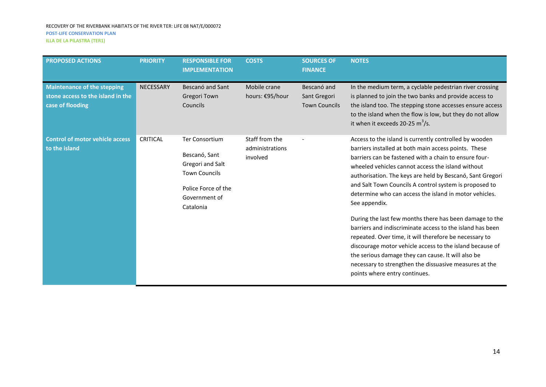| <b>PROPOSED ACTIONS</b>                                                                     | <b>PRIORITY</b>  | <b>RESPONSIBLE FOR</b><br><b>IMPLEMENTATION</b>                                                                                         | <b>COSTS</b>                                  | <b>SOURCES OF</b><br><b>FINANCE</b>                 | <b>NOTES</b>                                                                                                                                                                                                                                                                                                                                                                                                                                                                                                                                                                                                                                                                                                                                                                                                                  |
|---------------------------------------------------------------------------------------------|------------------|-----------------------------------------------------------------------------------------------------------------------------------------|-----------------------------------------------|-----------------------------------------------------|-------------------------------------------------------------------------------------------------------------------------------------------------------------------------------------------------------------------------------------------------------------------------------------------------------------------------------------------------------------------------------------------------------------------------------------------------------------------------------------------------------------------------------------------------------------------------------------------------------------------------------------------------------------------------------------------------------------------------------------------------------------------------------------------------------------------------------|
| <b>Maintenance of the stepping</b><br>stone access to the island in the<br>case of flooding | <b>NECESSARY</b> | Bescanó and Sant<br>Gregori Town<br>Councils                                                                                            | Mobile crane<br>hours: €95/hour               | Bescanó and<br>Sant Gregori<br><b>Town Councils</b> | In the medium term, a cyclable pedestrian river crossing<br>is planned to join the two banks and provide access to<br>the island too. The stepping stone accesses ensure access<br>to the island when the flow is low, but they do not allow<br>it when it exceeds 20-25 $m^3/s$ .                                                                                                                                                                                                                                                                                                                                                                                                                                                                                                                                            |
| <b>Control of motor vehicle access</b><br>to the island                                     | <b>CRITICAL</b>  | <b>Ter Consortium</b><br>Bescanó, Sant<br>Gregori and Salt<br><b>Town Councils</b><br>Police Force of the<br>Government of<br>Catalonia | Staff from the<br>administrations<br>involved |                                                     | Access to the island is currently controlled by wooden<br>barriers installed at both main access points. These<br>barriers can be fastened with a chain to ensure four-<br>wheeled vehicles cannot access the island without<br>authorisation. The keys are held by Bescanó, Sant Gregori<br>and Salt Town Councils A control system is proposed to<br>determine who can access the island in motor vehicles.<br>See appendix.<br>During the last few months there has been damage to the<br>barriers and indiscriminate access to the island has been<br>repeated. Over time, it will therefore be necessary to<br>discourage motor vehicle access to the island because of<br>the serious damage they can cause. It will also be<br>necessary to strengthen the dissuasive measures at the<br>points where entry continues. |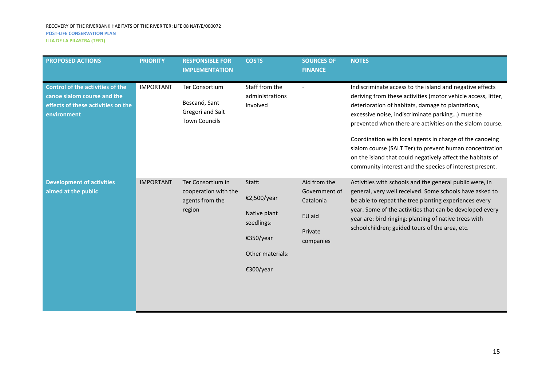| <b>PROPOSED ACTIONS</b>                                                                                                     | <b>PRIORITY</b>  | <b>RESPONSIBLE FOR</b><br><b>IMPLEMENTATION</b>                                    | <b>COSTS</b>                                                                                      | <b>SOURCES OF</b><br><b>FINANCE</b>                                          | <b>NOTES</b>                                                                                                                                                                                                                                                                                                                                                                                                                                                                                                                                    |
|-----------------------------------------------------------------------------------------------------------------------------|------------------|------------------------------------------------------------------------------------|---------------------------------------------------------------------------------------------------|------------------------------------------------------------------------------|-------------------------------------------------------------------------------------------------------------------------------------------------------------------------------------------------------------------------------------------------------------------------------------------------------------------------------------------------------------------------------------------------------------------------------------------------------------------------------------------------------------------------------------------------|
| <b>Control of the activities of the</b><br>canoe slalom course and the<br>effects of these activities on the<br>environment | <b>IMPORTANT</b> | <b>Ter Consortium</b><br>Bescanó, Sant<br>Gregori and Salt<br><b>Town Councils</b> | Staff from the<br>administrations<br>involved                                                     |                                                                              | Indiscriminate access to the island and negative effects<br>deriving from these activities (motor vehicle access, litter,<br>deterioration of habitats, damage to plantations,<br>excessive noise, indiscriminate parking) must be<br>prevented when there are activities on the slalom course.<br>Coordination with local agents in charge of the canoeing<br>slalom course (SALT Ter) to prevent human concentration<br>on the island that could negatively affect the habitats of<br>community interest and the species of interest present. |
| <b>Development of activities</b><br>aimed at the public                                                                     | <b>IMPORTANT</b> | Ter Consortium in<br>cooperation with the<br>agents from the<br>region             | Staff:<br>€2,500/year<br>Native plant<br>seedlings:<br>€350/year<br>Other materials:<br>€300/year | Aid from the<br>Government of<br>Catalonia<br>EU aid<br>Private<br>companies | Activities with schools and the general public were, in<br>general, very well received. Some schools have asked to<br>be able to repeat the tree planting experiences every<br>year. Some of the activities that can be developed every<br>year are: bird ringing; planting of native trees with<br>schoolchildren; guided tours of the area, etc.                                                                                                                                                                                              |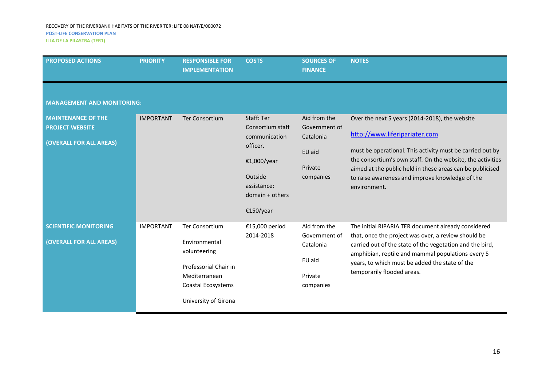#### RECOVERY OF THE RIVERBANK HABITATS OF THE RIVER TER: LIFE 08 NAT/E/000072 **POST-LIFE CONSERVATION PLAN**

**ILLA DE LA PILASTRA (TER1)**

| <b>PROPOSED ACTIONS</b>                                                        | <b>PRIORITY</b>  | <b>RESPONSIBLE FOR</b><br><b>IMPLEMENTATION</b>                                                                                                | <b>COSTS</b>                                                                                                                           | <b>SOURCES OF</b><br><b>FINANCE</b>                                          | <b>NOTES</b>                                                                                                                                                                                                                                                                                                                               |
|--------------------------------------------------------------------------------|------------------|------------------------------------------------------------------------------------------------------------------------------------------------|----------------------------------------------------------------------------------------------------------------------------------------|------------------------------------------------------------------------------|--------------------------------------------------------------------------------------------------------------------------------------------------------------------------------------------------------------------------------------------------------------------------------------------------------------------------------------------|
| <b>MANAGEMENT AND MONITORING:</b>                                              |                  |                                                                                                                                                |                                                                                                                                        |                                                                              |                                                                                                                                                                                                                                                                                                                                            |
| <b>MAINTENANCE OF THE</b><br><b>PROJECT WEBSITE</b><br>(OVERALL FOR ALL AREAS) | <b>IMPORTANT</b> | <b>Ter Consortium</b>                                                                                                                          | Staff: Ter<br>Consortium staff<br>communication<br>officer.<br>€1,000/year<br>Outside<br>assistance:<br>$domain + others$<br>€150/year | Aid from the<br>Government of<br>Catalonia<br>EU aid<br>Private<br>companies | Over the next 5 years (2014-2018), the website<br>http://www.liferipariater.com<br>must be operational. This activity must be carried out by<br>the consortium's own staff. On the website, the activities<br>aimed at the public held in these areas can be publicised<br>to raise awareness and improve knowledge of the<br>environment. |
| <b>SCIENTIFIC MONITORING</b><br>(OVERALL FOR ALL AREAS)                        | <b>IMPORTANT</b> | <b>Ter Consortium</b><br>Environmental<br>volunteering<br>Professorial Chair in<br>Mediterranean<br>Coastal Ecosystems<br>University of Girona | €15,000 period<br>2014-2018                                                                                                            | Aid from the<br>Government of<br>Catalonia<br>EU aid<br>Private<br>companies | The initial RIPARIA TER document already considered<br>that, once the project was over, a review should be<br>carried out of the state of the vegetation and the bird,<br>amphibian, reptile and mammal populations every 5<br>years, to which must be added the state of the<br>temporarily flooded areas.                                |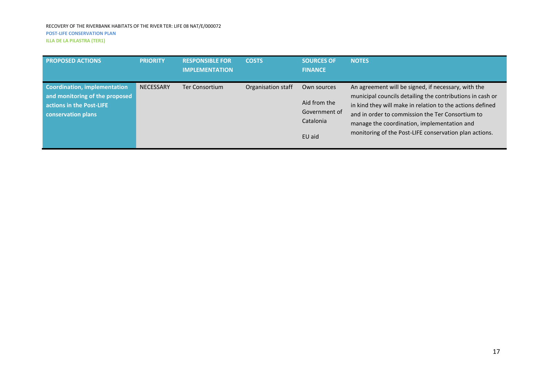| <b>PROPOSED ACTIONS</b>                                                                                                 | <b>PRIORITY</b>  | <b>RESPONSIBLE FOR</b><br><b>IMPLEMENTATION</b> | <b>COSTS</b>       | <b>SOURCES OF</b><br><b>FINANCE</b>                                 | <b>NOTES</b>                                                                                                                                                                                                                                                                                                                               |
|-------------------------------------------------------------------------------------------------------------------------|------------------|-------------------------------------------------|--------------------|---------------------------------------------------------------------|--------------------------------------------------------------------------------------------------------------------------------------------------------------------------------------------------------------------------------------------------------------------------------------------------------------------------------------------|
| <b>Coordination, implementation</b><br>and monitoring of the proposed<br>actions in the Post-LIFE<br>conservation plans | <b>NECESSARY</b> | Ter Consortium                                  | Organisation staff | Own sources<br>Aid from the<br>Government of<br>Catalonia<br>EU aid | An agreement will be signed, if necessary, with the<br>municipal councils detailing the contributions in cash or<br>in kind they will make in relation to the actions defined<br>and in order to commission the Ter Consortium to<br>manage the coordination, implementation and<br>monitoring of the Post-LIFE conservation plan actions. |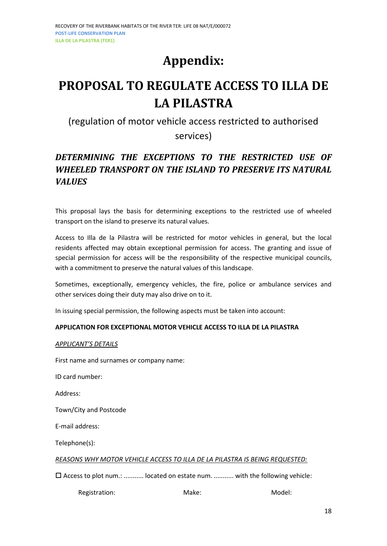# **Appendix:**

# <span id="page-17-0"></span>**PROPOSAL TO REGULATE ACCESS TO ILLA DE LA PILASTRA**

# (regulation of motor vehicle access restricted to authorised

services)

# *DETERMINING THE EXCEPTIONS TO THE RESTRICTED USE OF WHEELED TRANSPORT ON THE ISLAND TO PRESERVE ITS NATURAL VALUES*

This proposal lays the basis for determining exceptions to the restricted use of wheeled transport on the island to preserve its natural values.

Access to Illa de la Pilastra will be restricted for motor vehicles in general, but the local residents affected may obtain exceptional permission for access. The granting and issue of special permission for access will be the responsibility of the respective municipal councils, with a commitment to preserve the natural values of this landscape.

Sometimes, exceptionally, emergency vehicles, the fire, police or ambulance services and other services doing their duty may also drive on to it.

In issuing special permission, the following aspects must be taken into account:

#### **APPLICATION FOR EXCEPTIONAL MOTOR VEHICLE ACCESS TO ILLA DE LA PILASTRA**

#### *APPLICANT'S DETAILS*

First name and surnames or company name:

ID card number:

Address:

Town/City and Postcode

E-mail address:

Telephone(s):

*REASONS WHY MOTOR VEHICLE ACCESS TO ILLA DE LA PILASTRA IS BEING REQUESTED:*

Access to plot num.: ........... located on estate num. ........... with the following vehicle:

| Registration: | Make: | Model: |
|---------------|-------|--------|
|---------------|-------|--------|